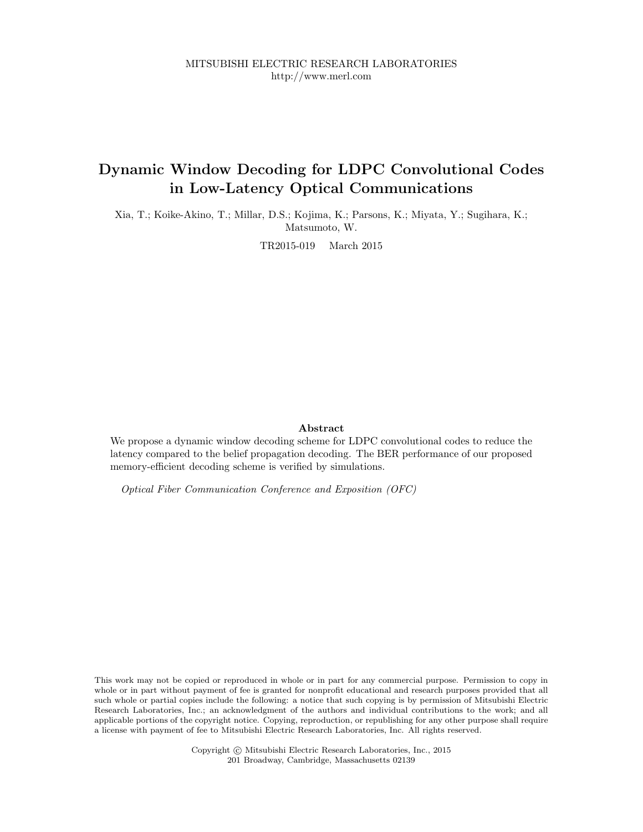## Dynamic Window Decoding for LDPC Convolutional Codes in Low-Latency Optical Communications

Xia, T.; Koike-Akino, T.; Millar, D.S.; Kojima, K.; Parsons, K.; Miyata, Y.; Sugihara, K.; Matsumoto, W.

TR2015-019 March 2015

### Abstract

We propose a dynamic window decoding scheme for LDPC convolutional codes to reduce the latency compared to the belief propagation decoding. The BER performance of our proposed memory-efficient decoding scheme is verified by simulations.

Optical Fiber Communication Conference and Exposition (OFC)

This work may not be copied or reproduced in whole or in part for any commercial purpose. Permission to copy in whole or in part without payment of fee is granted for nonprofit educational and research purposes provided that all such whole or partial copies include the following: a notice that such copying is by permission of Mitsubishi Electric Research Laboratories, Inc.; an acknowledgment of the authors and individual contributions to the work; and all applicable portions of the copyright notice. Copying, reproduction, or republishing for any other purpose shall require a license with payment of fee to Mitsubishi Electric Research Laboratories, Inc. All rights reserved.

> Copyright © Mitsubishi Electric Research Laboratories, Inc., 2015 201 Broadway, Cambridge, Massachusetts 02139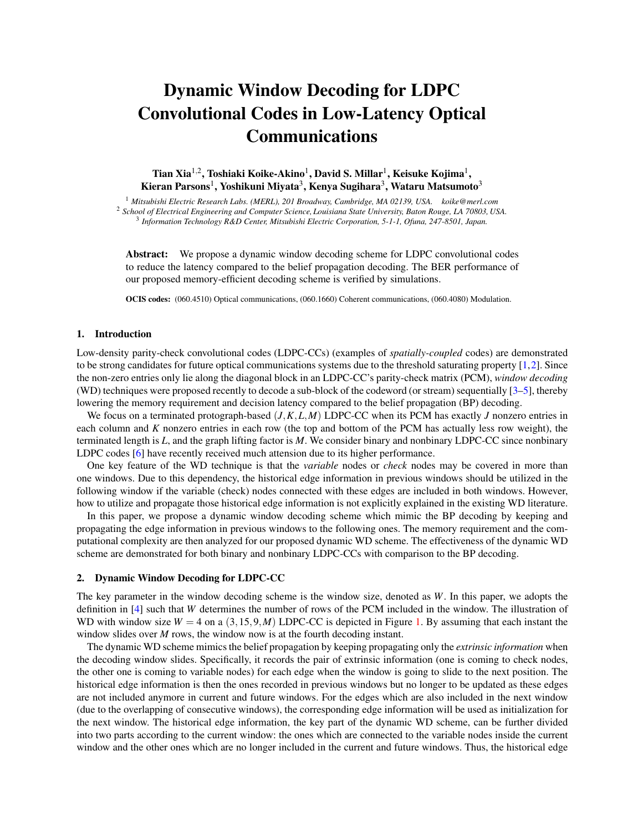# Dynamic Window Decoding for LDPC Convolutional Codes in Low-Latency Optical Communications

Tian Xia<sup>1,2</sup>, Toshiaki Koike-Akino<sup>1</sup>, David S. Millar<sup>1</sup>, Keisuke Kojima<sup>1</sup>, Kieran Parsons<sup>1</sup>, Yoshikuni Miyata<sup>3</sup>, Kenya Sugihara<sup>3</sup>, Wataru Matsumoto<sup>3</sup>

<sup>1</sup> *Mitsubishi Electric Research Labs. (MERL), 201 Broadway, Cambridge, MA 02139, USA. koike@merl.com* <sup>2</sup> *School of Electrical Engineering and Computer Science, Louisiana State University, Baton Rouge, LA 70803, USA.* <sup>3</sup> *Information Technology R&D Center, Mitsubishi Electric Corporation, 5-1-1, Ofuna, 247-8501, Japan.*

Abstract: We propose a dynamic window decoding scheme for LDPC convolutional codes to reduce the latency compared to the belief propagation decoding. The BER performance of our proposed memory-efficient decoding scheme is verified by simulations.

OCIS codes: (060.4510) Optical communications, (060.1660) Coherent communications, (060.4080) Modulation.

#### 1. Introduction

Low-density parity-check convolutional codes (LDPC-CCs) (examples of *spatially-coupled* codes) are demonstrated to be strong candidates for future optical communications systems due to the threshold saturating property  $[1,2]$ . Since the non-zero entries only lie along the diagonal block in an LDPC-CC's parity-check matrix (PCM), *window decoding* (WD) techniques were proposed recently to decode a sub-block of the codeword (or stream) sequentially [3–5], thereby lowering the memory requirement and decision latency compared to the belief propagation (BP) decoding.

We focus on a terminated protograph-based (*J,K,L,M*) LDPC-CC when its PCM has exactly *J* nonzero entries in each column and *K* nonzero entries in each row (the top and bottom of the PCM has actually less row weight), the terminated length is *L*, and the graph lifting factor is *M*. We consider binary and nonbinary LDPC-CC since nonbinary LDPC codes [6] have recently received much attension due to its higher performance.

One key feature of the WD technique is that the *variable* nodes or *check* nodes may be covered in more than one windows. Due to this dependency, the historical edge information in previous windows should be utilized in the following window if the variable (check) nodes connected with these edges are included in both windows. However, how to utilize and propagate those historical edge information is not explicitly explained in the existing WD literature.

In this paper, we propose a dynamic window decoding scheme which mimic the BP decoding by keeping and propagating the edge information in previous windows to the following ones. The memory requirement and the computational complexity are then analyzed for our proposed dynamic WD scheme. The effectiveness of the dynamic WD scheme are demonstrated for both binary and nonbinary LDPC-CCs with comparison to the BP decoding.

#### 2. Dynamic Window Decoding for LDPC-CC

The key parameter in the window decoding scheme is the window size, denoted as *W*. In this paper, we adopts the definition in [4] such that *W* determines the number of rows of the PCM included in the window. The illustration of WD with window size  $W = 4$  on a  $(3, 15, 9, M)$  LDPC-CC is depicted in Figure 1. By assuming that each instant the window slides over *M* rows, the window now is at the fourth decoding instant.

The dynamic WD scheme mimics the belief propagation by keeping propagating only the *extrinsic information* when the decoding window slides. Specifically, it records the pair of extrinsic information (one is coming to check nodes, the other one is coming to variable nodes) for each edge when the window is going to slide to the next position. The historical edge information is then the ones recorded in previous windows but no longer to be updated as these edges are not included anymore in current and future windows. For the edges which are also included in the next window (due to the overlapping of consecutive windows), the corresponding edge information will be used as initialization for the next window. The historical edge information, the key part of the dynamic WD scheme, can be further divided into two parts according to the current window: the ones which are connected to the variable nodes inside the current window and the other ones which are no longer included in the current and future windows. Thus, the historical edge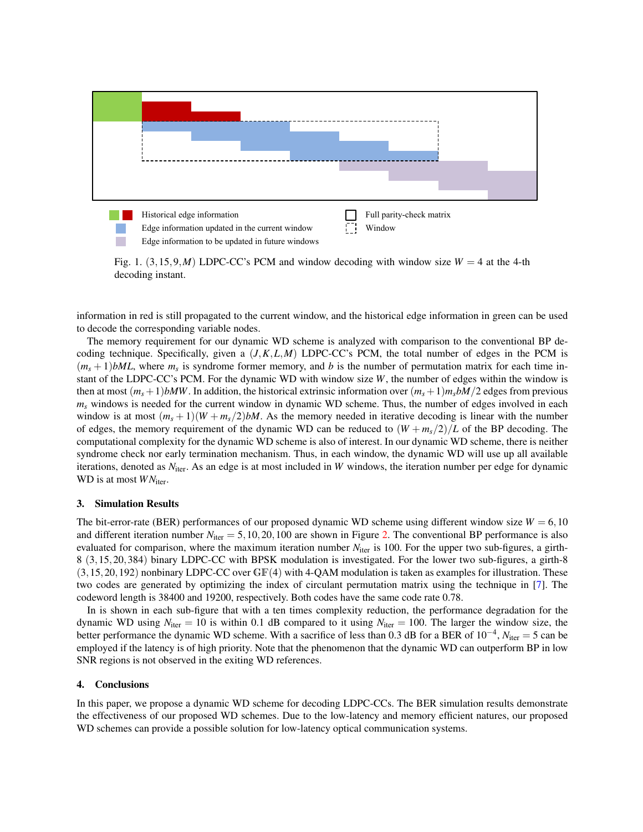

Fig. 1.  $(3,15,9,M)$  LDPC-CC's PCM and window decoding with window size  $W = 4$  at the 4-th decoding instant.

information in red is still propagated to the current window, and the historical edge information in green can be used to decode the corresponding variable nodes.

The memory requirement for our dynamic WD scheme is analyzed with comparison to the conventional BP decoding technique. Specifically, given a  $(J, K, L, M)$  LDPC-CC's PCM, the total number of edges in the PCM is  $(m_s + 1)$ *bML*, where  $m_s$  is syndrome former memory, and *b* is the number of permutation matrix for each time instant of the LDPC-CC's PCM. For the dynamic WD with window size *W*, the number of edges within the window is then at most  $(m_s + 1)$ *bMW*. In addition, the historical extrinsic information over  $(m_s + 1)m_s bM/2$  edges from previous *ms* windows is needed for the current window in dynamic WD scheme. Thus, the number of edges involved in each window is at most  $(m_s + 1)(W + m_s/2)$ *bM*. As the memory needed in iterative decoding is linear with the number of edges, the memory requirement of the dynamic WD can be reduced to  $(W + m_s/2)/L$  of the BP decoding. The computational complexity for the dynamic WD scheme is also of interest. In our dynamic WD scheme, there is neither syndrome check nor early termination mechanism. Thus, in each window, the dynamic WD will use up all available iterations, denoted as *N*<sub>iter</sub>. As an edge is at most included in *W* windows, the iteration number per edge for dynamic WD is at most  $WN_{\text{iter}}$ .

#### 3. Simulation Results

The bit-error-rate (BER) performances of our proposed dynamic WD scheme using different window size  $W = 6,10$ and different iteration number  $N_{\text{iter}} = 5,10,20,100$  are shown in Figure 2. The conventional BP performance is also evaluated for comparison, where the maximum iteration number *N*<sub>iter</sub> is 100. For the upper two sub-figures, a girth-8 (3*,*15*,*20*,*384) binary LDPC-CC with BPSK modulation is investigated. For the lower two sub-figures, a girth-8 (3*,*15*,*20*,*192) nonbinary LDPC-CC over GF(4) with 4-QAM modulation is taken as examples for illustration. These two codes are generated by optimizing the index of circulant permutation matrix using the technique in [7]. The codeword length is 38400 and 19200, respectively. Both codes have the same code rate 0.78.

In is shown in each sub-figure that with a ten times complexity reduction, the performance degradation for the dynamic WD using  $N_{\text{iter}} = 10$  is within 0.1 dB compared to it using  $N_{\text{iter}} = 100$ . The larger the window size, the better performance the dynamic WD scheme. With a sacrifice of less than 0.3 dB for a BER of  $10^{-4}$ ,  $N_{\text{iter}} = 5$  can be employed if the latency is of high priority. Note that the phenomenon that the dynamic WD can outperform BP in low SNR regions is not observed in the exiting WD references.

#### 4. Conclusions

In this paper, we propose a dynamic WD scheme for decoding LDPC-CCs. The BER simulation results demonstrate the effectiveness of our proposed WD schemes. Due to the low-latency and memory efficient natures, our proposed WD schemes can provide a possible solution for low-latency optical communication systems.